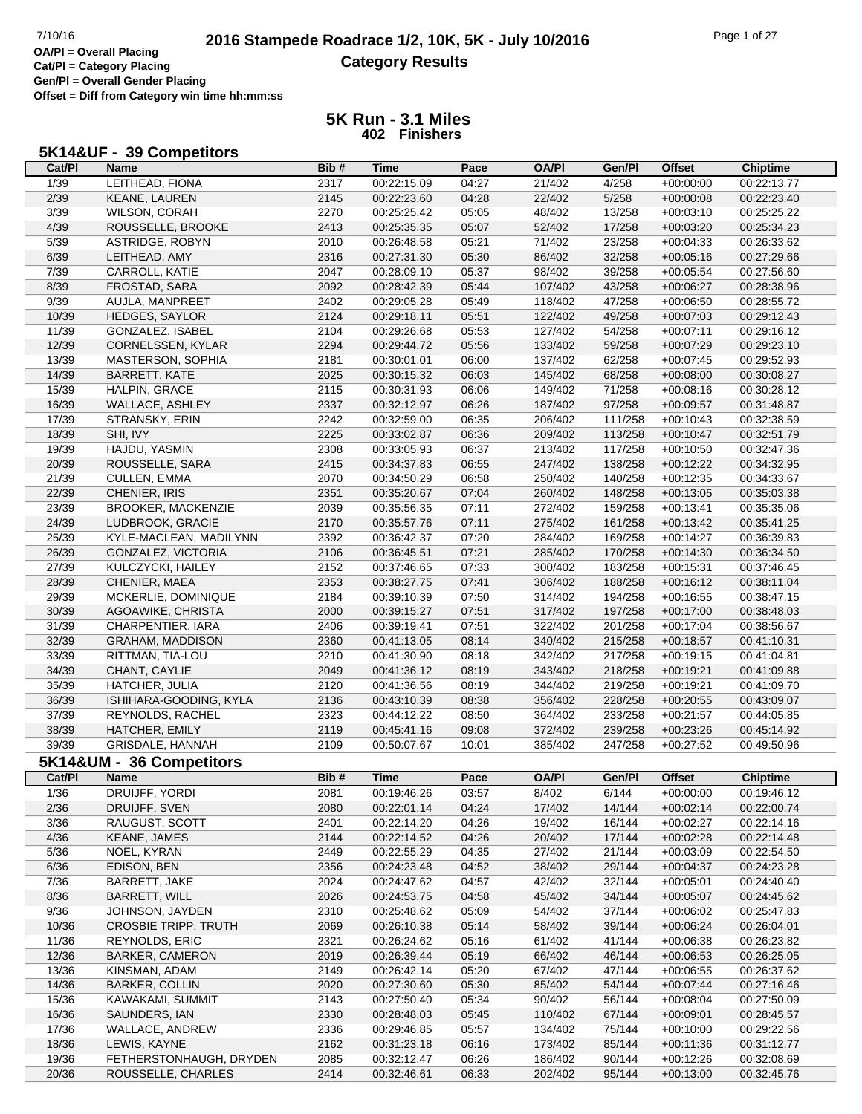٦

**Cat/Pl = Category Placing Gen/Pl = Overall Gender Placing**

**Offset = Diff from Category win time hh:mm:ss**

#### **5K Run - 3.1 Miles 402 Finishers**

#### **5K14&UF - 39 Competitors**

| Cat/PI            | <b>Name</b>                 | Bib# | Time        | Pace  | <b>OA/PI</b> | Gen/Pl  | Offset        | <b>Chiptime</b> |
|-------------------|-----------------------------|------|-------------|-------|--------------|---------|---------------|-----------------|
| 1/39              | LEITHEAD, FIONA             | 2317 | 00:22:15.09 | 04:27 | 21/402       | 4/258   | $+00:00:00$   | 00:22:13.77     |
| 2/39              | KEANE, LAUREN               | 2145 | 00:22:23.60 | 04:28 | 22/402       | 5/258   | $+00:00:08$   | 00:22:23.40     |
| $\overline{3/39}$ | <b>WILSON, CORAH</b>        | 2270 | 00:25:25.42 | 05:05 | 48/402       | 13/258  | $+00:03:10$   | 00:25:25.22     |
| 4/39              | ROUSSELLE, BROOKE           | 2413 | 00:25:35.35 | 05:07 | 52/402       | 17/258  | $+00:03:20$   | 00:25:34.23     |
| 5/39              | ASTRIDGE, ROBYN             | 2010 | 00:26:48.58 | 05:21 | 71/402       | 23/258  | $+00:04:33$   | 00:26:33.62     |
| 6/39              | LEITHEAD, AMY               | 2316 | 00:27:31.30 | 05:30 | 86/402       | 32/258  | $+00:05:16$   | 00:27:29.66     |
| 7/39              | CARROLL, KATIE              | 2047 | 00:28:09.10 | 05:37 | 98/402       | 39/258  | $+00:05:54$   | 00:27:56.60     |
| 8/39              | FROSTAD, SARA               | 2092 | 00:28:42.39 | 05:44 | 107/402      | 43/258  | $+00:06:27$   | 00:28:38.96     |
| 9/39              | AUJLA, MANPREET             | 2402 | 00:29:05.28 | 05:49 | 118/402      | 47/258  | $+00:06:50$   | 00:28:55.72     |
| 10/39             | HEDGES, SAYLOR              | 2124 | 00:29:18.11 | 05:51 | 122/402      | 49/258  | $+00:07:03$   | 00:29:12.43     |
| 11/39             |                             |      |             |       |              |         |               |                 |
|                   | GONZALEZ, ISABEL            | 2104 | 00:29:26.68 | 05:53 | 127/402      | 54/258  | $+00:07:11$   | 00:29:16.12     |
| 12/39             | CORNELSSEN, KYLAR           | 2294 | 00:29:44.72 | 05:56 | 133/402      | 59/258  | $+00:07:29$   | 00:29:23.10     |
| 13/39             | MASTERSON, SOPHIA           | 2181 | 00:30:01.01 | 06:00 | 137/402      | 62/258  | $+00:07:45$   | 00:29:52.93     |
| 14/39             | <b>BARRETT, KATE</b>        | 2025 | 00:30:15.32 | 06:03 | 145/402      | 68/258  | $+00:08:00$   | 00:30:08.27     |
| 15/39             | HALPIN, GRACE               | 2115 | 00:30:31.93 | 06:06 | 149/402      | 71/258  | $+00:08:16$   | 00:30:28.12     |
| 16/39             | WALLACE, ASHLEY             | 2337 | 00:32:12.97 | 06:26 | 187/402      | 97/258  | $+00:09:57$   | 00:31:48.87     |
| 17/39             | STRANSKY, ERIN              | 2242 | 00:32:59.00 | 06:35 | 206/402      | 111/258 | $+00:10:43$   | 00:32:38.59     |
| 18/39             | SHI, IVY                    | 2225 | 00:33:02.87 | 06:36 | 209/402      | 113/258 | $+00:10:47$   | 00:32:51.79     |
| 19/39             | HAJDU, YASMIN               | 2308 | 00:33:05.93 | 06:37 | 213/402      | 117/258 | $+00:10:50$   | 00:32:47.36     |
| 20/39             | ROUSSELLE, SARA             | 2415 | 00:34:37.83 | 06:55 | 247/402      | 138/258 | $+00:12:22$   | 00:34:32.95     |
| 21/39             | <b>CULLEN, EMMA</b>         | 2070 | 00:34:50.29 | 06:58 | 250/402      | 140/258 | $+00:12:35$   | 00:34:33.67     |
| 22/39             | CHENIER, IRIS               | 2351 | 00:35:20.67 | 07:04 | 260/402      | 148/258 | $+00:13:05$   | 00:35:03.38     |
| 23/39             | <b>BROOKER, MACKENZIE</b>   | 2039 | 00:35:56.35 | 07:11 | 272/402      | 159/258 | $+00:13:41$   | 00:35:35.06     |
| 24/39             | LUDBROOK, GRACIE            | 2170 | 00:35:57.76 | 07:11 | 275/402      | 161/258 | $+00:13:42$   | 00:35:41.25     |
| 25/39             | KYLE-MACLEAN, MADILYNN      | 2392 | 00:36:42.37 | 07:20 | 284/402      | 169/258 | $+00:14:27$   | 00:36:39.83     |
| 26/39             | GONZALEZ, VICTORIA          | 2106 | 00:36:45.51 | 07:21 | 285/402      | 170/258 | $+00:14:30$   | 00:36:34.50     |
| 27/39             | KULCZYCKI, HAILEY           | 2152 | 00:37:46.65 | 07:33 | 300/402      | 183/258 | $+00:15:31$   | 00:37:46.45     |
| 28/39             | CHENIER, MAEA               | 2353 | 00:38:27.75 | 07:41 | 306/402      | 188/258 | $+00:16:12$   | 00:38:11.04     |
| 29/39             | MCKERLIE, DOMINIQUE         | 2184 | 00:39:10.39 | 07:50 | 314/402      | 194/258 | $+00:16:55$   | 00:38:47.15     |
| 30/39             |                             |      |             |       |              |         |               |                 |
|                   | AGOAWIKE, CHRISTA           | 2000 | 00:39:15.27 | 07:51 | 317/402      | 197/258 | $+00:17:00$   | 00:38:48.03     |
| 31/39             | CHARPENTIER, IARA           | 2406 | 00:39:19.41 | 07:51 | 322/402      | 201/258 | $+00:17:04$   | 00:38:56.67     |
| 32/39             | <b>GRAHAM, MADDISON</b>     | 2360 | 00:41:13.05 | 08:14 | 340/402      | 215/258 | $+00:18:57$   | 00:41:10.31     |
| 33/39             | RITTMAN, TIA-LOU            | 2210 | 00:41:30.90 | 08:18 | 342/402      | 217/258 | $+00:19:15$   | 00:41:04.81     |
| 34/39             | CHANT, CAYLIE               | 2049 | 00:41:36.12 | 08:19 | 343/402      | 218/258 | $+00:19:21$   | 00:41:09.88     |
| 35/39             | HATCHER, JULIA              | 2120 | 00:41:36.56 | 08:19 | 344/402      | 219/258 | $+00:19:21$   | 00:41:09.70     |
| 36/39             | ISHIHARA-GOODING, KYLA      | 2136 | 00:43:10.39 | 08:38 | 356/402      | 228/258 | $+00:20:55$   | 00:43:09.07     |
| 37/39             | REYNOLDS, RACHEL            | 2323 | 00:44:12.22 | 08:50 | 364/402      | 233/258 | $+00:21:57$   | 00:44:05.85     |
| 38/39             | HATCHER, EMILY              | 2119 | 00:45:41.16 | 09:08 | 372/402      | 239/258 | $+00:23:26$   | 00:45:14.92     |
| 39/39             | <b>GRISDALE, HANNAH</b>     | 2109 | 00:50:07.67 | 10:01 | 385/402      | 247/258 | $+00:27:52$   | 00:49:50.96     |
|                   | 5K14&UM - 36 Competitors    |      |             |       |              |         |               |                 |
| Cat/PI            | <b>Name</b>                 | Bib# | <b>Time</b> | Pace  | <b>OA/PI</b> | Gen/Pl  | <b>Offset</b> | <b>Chiptime</b> |
| 1/36              | DRUIJFF, YORDI              | 2081 | 00:19:46.26 | 03:57 | 8/402        | 6/144   | $+00:00:00$   | 00:19:46.12     |
| 2/36              | DRUIJFF, SVEN               | 2080 | 00:22:01.14 | 04:24 | 17/402       | 14/144  | $+00:02:14$   | 00:22:00.74     |
| 3/36              | RAUGUST, SCOTT              | 2401 | 00:22:14.20 | 04:26 | 19/402       | 16/144  | $+00:02:27$   | 00:22:14.16     |
| 4/36              | <b>KEANE, JAMES</b>         | 2144 | 00:22:14.52 | 04:26 | 20/402       | 17/144  | $+00:02:28$   | 00:22:14.48     |
| 5/36              | NOEL, KYRAN                 | 2449 | 00:22:55.29 | 04:35 | 27/402       | 21/144  | $+00:03:09$   | 00:22:54.50     |
| 6/36              | EDISON, BEN                 | 2356 | 00:24:23.48 | 04:52 | 38/402       | 29/144  | $+00:04:37$   | 00:24:23.28     |
|                   |                             |      |             |       |              |         |               |                 |
| 7/36              | BARRETT, JAKE               | 2024 | 00:24:47.62 | 04:57 | 42/402       | 32/144  | $+00:05:01$   | 00:24:40.40     |
| 8/36              | <b>BARRETT, WILL</b>        | 2026 | 00:24:53.75 | 04:58 | 45/402       | 34/144  | $+00:05:07$   | 00:24:45.62     |
| 9/36              | JOHNSON, JAYDEN             | 2310 | 00:25:48.62 | 05:09 | 54/402       | 37/144  | $+00:06:02$   | 00:25:47.83     |
| 10/36             | <b>CROSBIE TRIPP, TRUTH</b> | 2069 | 00:26:10.38 | 05:14 | 58/402       | 39/144  | $+00:06:24$   | 00:26:04.01     |
| 11/36             | <b>REYNOLDS, ERIC</b>       | 2321 | 00:26:24.62 | 05:16 | 61/402       | 41/144  | $+00:06:38$   | 00:26:23.82     |
| 12/36             | <b>BARKER, CAMERON</b>      | 2019 | 00:26:39.44 | 05:19 | 66/402       | 46/144  | $+00:06:53$   | 00:26:25.05     |
| 13/36             | KINSMAN, ADAM               | 2149 | 00:26:42.14 | 05:20 | 67/402       | 47/144  | $+00:06:55$   | 00:26:37.62     |
| 14/36             | <b>BARKER, COLLIN</b>       | 2020 | 00:27:30.60 | 05:30 | 85/402       | 54/144  | $+00:07:44$   | 00:27:16.46     |
| 15/36             | KAWAKAMI, SUMMIT            | 2143 | 00:27:50.40 | 05:34 | 90/402       | 56/144  | $+00:08:04$   | 00:27:50.09     |
| 16/36             | SAUNDERS, IAN               | 2330 | 00:28:48.03 | 05:45 | 110/402      | 67/144  | $+00:09:01$   | 00:28:45.57     |
| 17/36             | WALLACE, ANDREW             | 2336 | 00:29:46.85 | 05:57 | 134/402      | 75/144  | $+00:10:00$   | 00:29:22.56     |
| 18/36             | LEWIS, KAYNE                | 2162 | 00:31:23.18 | 06:16 | 173/402      | 85/144  | $+00:11:36$   | 00:31:12.77     |
| 19/36             | FETHERSTONHAUGH, DRYDEN     | 2085 | 00:32:12.47 | 06:26 | 186/402      | 90/144  | $+00:12:26$   | 00:32:08.69     |
| 20/36             | ROUSSELLE, CHARLES          | 2414 | 00:32:46.61 | 06:33 | 202/402      | 95/144  | $+00:13:00$   | 00:32:45.76     |
|                   |                             |      |             |       |              |         |               |                 |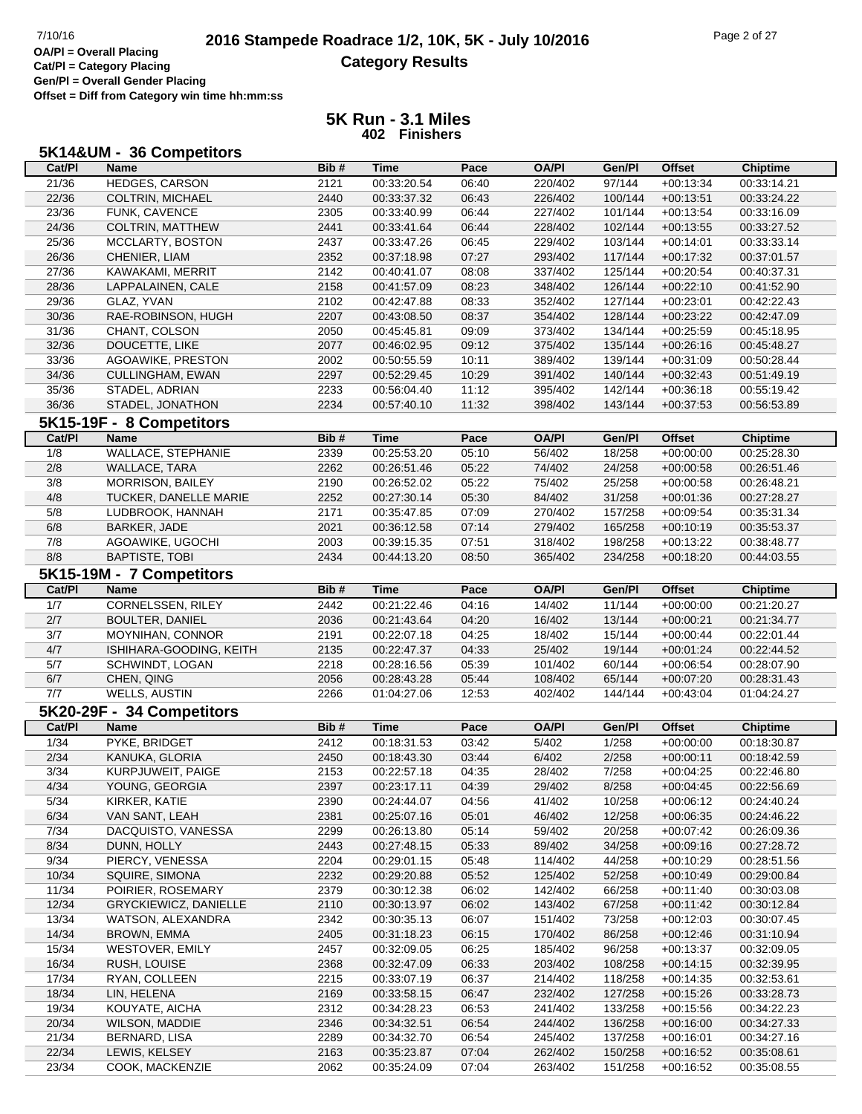**Offset = Diff from Category win time hh:mm:ss**

| 5K14&UM - 36 Competitors |  |  |
|--------------------------|--|--|
|--------------------------|--|--|

| Cat/PI         | Name                             | Bib#         | <b>Time</b>                | Pace           | <b>OA/PI</b>       | Gen/Pl             | <b>Offset</b>              | <b>Chiptime</b>            |
|----------------|----------------------------------|--------------|----------------------------|----------------|--------------------|--------------------|----------------------------|----------------------------|
| 21/36          | HEDGES, CARSON                   | 2121         | 00:33:20.54                | 06:40          | 220/402            | 97/144             | $+00:13:34$                | 00:33:14.21                |
| 22/36          | <b>COLTRIN, MICHAEL</b>          | 2440         | 00:33:37.32                | 06:43          | 226/402            | 100/144            | $+00:13:51$                | 00:33:24.22                |
| 23/36          | FUNK, CAVENCE                    | 2305         | 00:33:40.99                | 06:44          | 227/402            | 101/144            | $+00:13:54$                | 00:33:16.09                |
| 24/36          | COLTRIN, MATTHEW                 | 2441         | 00:33:41.64                | 06:44          | 228/402            | 102/144            | $+00:13:55$                | 00:33:27.52                |
| 25/36          | MCCLARTY, BOSTON                 | 2437         | 00:33:47.26                | 06:45          | 229/402            | 103/144            | $+00:14:01$                | 00:33:33.14                |
| 26/36          | CHENIER, LIAM                    | 2352         | 00:37:18.98                | 07:27          | 293/402            | 117/144            | $+00:17:32$                | 00:37:01.57                |
| 27/36          | KAWAKAMI, MERRIT                 | 2142         | 00:40:41.07                | 08:08          | 337/402            | 125/144            | $+00:20:54$                | 00:40:37.31                |
| 28/36          | LAPPALAINEN, CALE                | 2158         | 00:41:57.09                | 08:23          | 348/402            | 126/144            | $+00:22:10$                | 00:41:52.90                |
| 29/36          | GLAZ, YVAN                       | 2102         | 00:42:47.88                | 08:33          | 352/402            | 127/144            | $+00:23:01$                | 00:42:22.43                |
| 30/36          | RAE-ROBINSON, HUGH               | 2207         | 00:43:08.50                | 08:37          | 354/402            | 128/144            | $+00:23:22$                | 00:42:47.09                |
| 31/36          | CHANT, COLSON                    | 2050         | 00:45:45.81                | 09:09          | 373/402            | 134/144            | $+00:25:59$                | 00:45:18.95                |
| 32/36          | DOUCETTE, LIKE                   | 2077         | 00:46:02.95                | 09:12          | 375/402            | 135/144            | $+00:26:16$                | 00:45:48.27                |
| 33/36          | AGOAWIKE, PRESTON                | 2002         | 00:50:55.59                | 10:11          | 389/402            | 139/144            | $+00:31:09$                | 00:50:28.44                |
| 34/36          | CULLINGHAM, EWAN                 | 2297         | 00:52:29.45                | 10:29          | 391/402            | 140/144            | $+00:32:43$                | 00:51:49.19                |
| 35/36          | STADEL, ADRIAN                   | 2233         | 00:56:04.40                | 11:12          | 395/402            | 142/144            | $+00:36:18$                | 00:55:19.42                |
| 36/36          | STADEL, JONATHON                 | 2234         | 00:57:40.10                | 11:32          | 398/402            | 143/144            | $+00:37:53$                | 00:56:53.89                |
|                |                                  |              |                            |                |                    |                    |                            |                            |
|                | 5K15-19F - 8 Competitors         |              |                            |                |                    |                    |                            |                            |
| Cat/PI         | <b>Name</b>                      | Bib#         | <b>Time</b>                | Pace           | <b>OA/PI</b>       | Gen/Pl             | <b>Offset</b>              | <b>Chiptime</b>            |
| 1/8            | <b>WALLACE, STEPHANIE</b>        | 2339         | 00:25:53.20                | 05:10          | 56/402             | 18/258             | $+00:00:00$                | 00:25:28.30                |
| 2/8            | WALLACE, TARA                    | 2262         | 00:26:51.46                | 05:22          | 74/402             | 24/258             | $+00:00:58$                | 00:26:51.46                |
| 3/8            | MORRISON, BAILEY                 | 2190         | 00:26:52.02                | 05:22          | 75/402             | 25/258             | $+00:00:58$                | 00:26:48.21                |
| 4/8            | TUCKER, DANELLE MARIE            | 2252         | 00:27:30.14                | 05:30          | 84/402             | 31/258             | $+00:01:36$                | 00:27:28.27                |
| 5/8            | LUDBROOK, HANNAH                 | 2171         | 00:35:47.85                | 07:09          | 270/402            | 157/258            | $+00:09:54$                | 00:35:31.34                |
| 6/8            | BARKER, JADE                     | 2021         | 00:36:12.58                | 07:14          | 279/402            | 165/258            | $+00:10:19$                | 00:35:53.37                |
| 7/8            | AGOAWIKE, UGOCHI                 | 2003         | 00:39:15.35                | 07:51          | 318/402            | 198/258            | $+00:13:22$                | 00:38:48.77                |
| 8/8            | <b>BAPTISTE, TOBI</b>            | 2434         | 00:44:13.20                | 08:50          | 365/402            | 234/258            | $+00:18:20$                | 00:44:03.55                |
|                | 5K15-19M - 7 Competitors         |              |                            |                |                    |                    |                            |                            |
| Cat/PI         | <b>Name</b>                      | Bib#         | <b>Time</b>                | Pace           | <b>OA/PI</b>       | Gen/Pl             | <b>Offset</b>              | <b>Chiptime</b>            |
| 1/7            | CORNELSSEN, RILEY                | 2442         | 00:21:22.46                | 04:16          | 14/402             | 11/144             | $+00:00:00$                | 00:21:20.27                |
| 2/7            | <b>BOULTER, DANIEL</b>           | 2036         | 00:21:43.64                | 04:20          | 16/402             | 13/144             | $+00:00:21$                | 00:21:34.77                |
| 3/7            | MOYNIHAN, CONNOR                 | 2191         | 00:22:07.18                | 04:25          | 18/402             | 15/144             | $+00:00:44$                | 00:22:01.44                |
| 4/7            | ISHIHARA-GOODING, KEITH          | 2135         | 00:22:47.37                | 04:33          | 25/402             | 19/144             | $+00:01:24$                | 00:22:44.52                |
| 5/7            | SCHWINDT, LOGAN                  | 2218         | 00:28:16.56                | 05:39          | 101/402            | 60/144             | $+00:06:54$                | 00:28:07.90                |
| 6/7            | CHEN, QING                       | 2056         | 00:28:43.28                | 05:44          | 108/402            | 65/144             | $+00:07:20$                | 00:28:31.43                |
| 7/7            |                                  |              |                            | 12:53          | 402/402            | 144/144            | $+00:43:04$                |                            |
|                |                                  |              |                            |                |                    |                    |                            |                            |
|                | <b>WELLS, AUSTIN</b>             | 2266         | 01:04:27.06                |                |                    |                    |                            | 01:04:24.27                |
|                | 5K20-29F - 34 Competitors        |              |                            |                |                    |                    |                            |                            |
| Cat/PI         | <b>Name</b>                      | Bib#         | <b>Time</b>                | Pace           | <b>OA/PI</b>       | Gen/Pl             | Offset                     | <b>Chiptime</b>            |
| 1/34           | PYKE, BRIDGET                    | 2412         | 00:18:31.53                | 03:42          | 5/402              | 1/258              | $+00:00:00$                | 00:18:30.87                |
| 2/34           | KANUKA, GLORIA                   | 2450         | 00:18:43.30                | 03:44          | 6/402              | 2/258              | $+00:00:11$                | 00:18:42.59                |
| $\frac{3}{34}$ | KURPJUWEIT, PAIGE                | 2153         | 00:22:57.18                | 04:35          | 28/402             | 7/258              | $+00:04:25$                | 00:22:46.80                |
| 4/34           | YOUNG, GEORGIA                   | 2397         | 00:23:17.11                | 04:39          | 29/402             | 8/258              | $+00:04:45$                | 00:22:56.69                |
| 5/34           | KIRKER, KATIE                    | 2390         | 00:24:44.07                | 04:56          | 41/402             | 10/258             | $+00:06:12$                | 00:24:40.24                |
| 6/34           | VAN SANT, LEAH                   | 2381         | 00:25:07.16                | 05:01          | 46/402             | 12/258             | $+00:06:35$                | 00:24:46.22                |
| 7/34           | DACQUISTO, VANESSA               | 2299         | 00:26:13.80                | 05:14          | 59/402             | 20/258             | $+00:07:42$                | 00:26:09.36                |
| 8/34           | DUNN, HOLLY                      | 2443         | 00:27:48.15                | 05:33          | 89/402             | 34/258             | $+00:09:16$                | 00:27:28.72                |
| 9/34           | PIERCY, VENESSA                  | 2204         | 00:29:01.15                | 05:48          | 114/402            | 44/258             | $+00:10:29$                | 00:28:51.56                |
| 10/34          | SQUIRE, SIMONA                   | 2232         | 00:29:20.88                | 05:52          | 125/402            | 52/258             | $+00:10:49$                | 00:29:00.84                |
| 11/34          | POIRIER, ROSEMARY                | 2379         | 00:30:12.38                | 06:02          | 142/402            | 66/258             | $+00:11:40$                | 00:30:03.08                |
| 12/34          | GRYCKIEWICZ, DANIELLE            | 2110         | 00:30:13.97                | 06:02          | 143/402            | 67/258             | $+00:11:42$                | 00:30:12.84                |
| 13/34          | WATSON, ALEXANDRA                | 2342         | 00:30:35.13                | 06:07          | 151/402            | 73/258             | $+00:12:03$                | 00:30:07.45                |
| 14/34          | <b>BROWN, EMMA</b>               | 2405         | 00:31:18.23                | 06:15          | 170/402            | 86/258             | $+00:12:46$                | 00:31:10.94                |
| 15/34          | <b>WESTOVER, EMILY</b>           | 2457         | 00:32:09.05                | 06:25          | 185/402            | 96/258             | $+00:13:37$                | 00:32:09.05                |
| 16/34          | RUSH, LOUISE                     | 2368         | 00:32:47.09                | 06:33          | 203/402            | 108/258            | $+00:14:15$                | 00:32:39.95                |
| 17/34          | RYAN, COLLEEN                    | 2215         | 00:33:07.19                | 06:37          | 214/402            | 118/258            | $+00:14:35$                | 00:32:53.61                |
| 18/34          | LIN, HELENA                      | 2169         | 00:33:58.15                | 06:47          | 232/402            | 127/258            | $+00:15:26$                | 00:33:28.73                |
| 19/34          | KOUYATE, AICHA                   | 2312         | 00:34:28.23                | 06:53          | 241/402            | 133/258            | $+00:15:56$                | 00:34:22.23                |
| 20/34          | <b>WILSON, MADDIE</b>            | 2346         | 00:34:32.51                | 06:54          | 244/402            | 136/258            | $+00:16:00$                | 00:34:27.33                |
| 21/34          | BERNARD, LISA                    | 2289         | 00:34:32.70                | 06:54          | 245/402            | 137/258            | $+00:16:01$                | 00:34:27.16                |
| 22/34<br>23/34 | LEWIS, KELSEY<br>COOK, MACKENZIE | 2163<br>2062 | 00:35:23.87<br>00:35:24.09 | 07:04<br>07:04 | 262/402<br>263/402 | 150/258<br>151/258 | $+00:16:52$<br>$+00:16:52$ | 00:35:08.61<br>00:35:08.55 |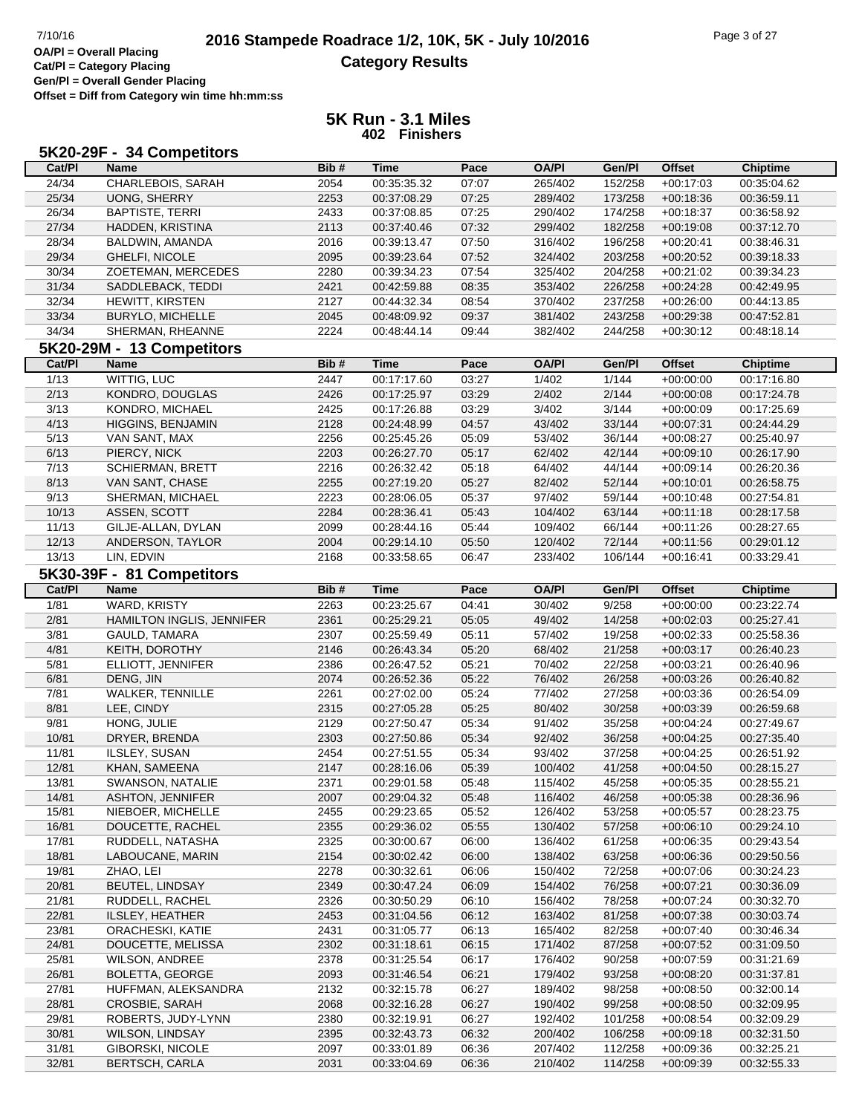**Offset = Diff from Category win time hh:mm:ss**

|                | 5K20-29F - 34 Competitors |      |             |       |              |         |               |                 |
|----------------|---------------------------|------|-------------|-------|--------------|---------|---------------|-----------------|
| Cat/PI         | <b>Name</b>               | Bib# | <b>Time</b> | Pace  | <b>OA/PI</b> | Gen/PI  | <b>Offset</b> | <b>Chiptime</b> |
| 24/34          | CHARLEBOIS, SARAH         | 2054 | 00:35:35.32 | 07:07 | 265/402      | 152/258 | $+00:17:03$   | 00:35:04.62     |
| 25/34          | <b>UONG, SHERRY</b>       | 2253 | 00:37:08.29 | 07:25 | 289/402      | 173/258 | $+00:18:36$   | 00:36:59.11     |
| 26/34          | <b>BAPTISTE, TERRI</b>    | 2433 | 00:37:08.85 | 07:25 | 290/402      | 174/258 | $+00:18:37$   | 00:36:58.92     |
| 27/34          | HADDEN, KRISTINA          | 2113 | 00:37:40.46 | 07:32 | 299/402      | 182/258 | $+00:19:08$   | 00:37:12.70     |
| 28/34          | BALDWIN, AMANDA           | 2016 | 00:39:13.47 | 07:50 | 316/402      | 196/258 | $+00:20:41$   | 00:38:46.31     |
| 29/34          | GHELFI, NICOLE            | 2095 | 00:39:23.64 | 07:52 | 324/402      | 203/258 | $+00:20:52$   | 00:39:18.33     |
| 30/34          | ZOETEMAN, MERCEDES        | 2280 | 00:39:34.23 | 07:54 | 325/402      | 204/258 | $+00:21:02$   | 00:39:34.23     |
| 31/34          | SADDLEBACK, TEDDI         | 2421 | 00:42:59.88 | 08:35 | 353/402      | 226/258 | $+00:24:28$   | 00:42:49.95     |
| 32/34          | HEWITT, KIRSTEN           | 2127 | 00:44:32.34 | 08:54 | 370/402      | 237/258 | $+00:26:00$   | 00:44:13.85     |
| 33/34          | <b>BURYLO, MICHELLE</b>   | 2045 | 00:48:09.92 | 09:37 | 381/402      | 243/258 | $+00:29:38$   | 00:47:52.81     |
| 34/34          | SHERMAN, RHEANNE          | 2224 | 00:48:44.14 | 09:44 | 382/402      | 244/258 | $+00:30:12$   | 00:48:18.14     |
|                | 5K20-29M - 13 Competitors |      |             |       |              |         |               |                 |
| Cat/PI         | <b>Name</b>               | Bib# | Time        | Pace  | <b>OA/PI</b> | Gen/Pl  | <b>Offset</b> | <b>Chiptime</b> |
| 1/13           | WITTIG, LUC               | 2447 | 00:17:17.60 | 03:27 | 1/402        | 1/144   | $+00:00:00$   | 00:17:16.80     |
| 2/13           | KONDRO, DOUGLAS           | 2426 | 00:17:25.97 | 03:29 | 2/402        | 2/144   | $+00:00:08$   | 00:17:24.78     |
| 3/13           | KONDRO, MICHAEL           | 2425 | 00:17:26.88 | 03:29 | 3/402        | 3/144   | $+00:00:09$   | 00:17:25.69     |
| 4/13           | HIGGINS, BENJAMIN         | 2128 | 00:24:48.99 | 04:57 | 43/402       | 33/144  | $+00:07:31$   | 00:24:44.29     |
| 5/13           | VAN SANT, MAX             | 2256 | 00:25:45.26 | 05:09 | 53/402       | 36/144  | $+00:08:27$   | 00:25:40.97     |
| 6/13           | PIERCY, NICK              | 2203 | 00:26:27.70 | 05:17 | 62/402       | 42/144  | $+00:09:10$   | 00:26:17.90     |
| 7/13           | <b>SCHIERMAN, BRETT</b>   | 2216 | 00:26:32.42 | 05:18 | 64/402       | 44/144  | $+00:09:14$   | 00:26:20.36     |
| 8/13           | VAN SANT, CHASE           | 2255 | 00:27:19.20 | 05:27 | 82/402       | 52/144  | $+00:10:01$   | 00:26:58.75     |
| 9/13           | SHERMAN, MICHAEL          | 2223 | 00:28:06.05 | 05:37 | 97/402       | 59/144  | $+00:10:48$   | 00:27:54.81     |
| 10/13          | ASSEN, SCOTT              | 2284 | 00:28:36.41 | 05:43 | 104/402      | 63/144  | $+00:11:18$   | 00:28:17.58     |
| 11/13          | GILJE-ALLAN, DYLAN        | 2099 | 00:28:44.16 | 05:44 | 109/402      | 66/144  | $+00:11:26$   | 00:28:27.65     |
| 12/13          | ANDERSON, TAYLOR          | 2004 | 00:29:14.10 | 05:50 | 120/402      | 72/144  | $+00:11:56$   | 00:29:01.12     |
| 13/13          | LIN, EDVIN                | 2168 | 00:33:58.65 | 06:47 | 233/402      | 106/144 | $+00:16:41$   | 00:33:29.41     |
|                | 5K30-39F - 81 Competitors |      |             |       |              |         |               |                 |
| Cat/PI         | <b>Name</b>               | Bib# | <b>Time</b> | Pace  | <b>OA/PI</b> | Gen/PI  | <b>Offset</b> | <b>Chiptime</b> |
| $\frac{1}{81}$ | WARD, KRISTY              | 2263 | 00:23:25.67 | 04:41 | 30/402       | 9/258   | $+00:00:00$   | 00:23:22.74     |
| 2/81           | HAMILTON INGLIS, JENNIFER | 2361 | 00:25:29.21 | 05:05 | 49/402       | 14/258  | $+00:02:03$   | 00:25:27.41     |
| 3/81           | <b>GAULD, TAMARA</b>      | 2307 | 00:25:59.49 | 05:11 | 57/402       | 19/258  | $+00:02:33$   | 00:25:58.36     |
| 4/81           | <b>KEITH, DOROTHY</b>     | 2146 | 00:26:43.34 | 05:20 | 68/402       | 21/258  | $+00:03:17$   | 00:26:40.23     |
| 5/81           | ELLIOTT, JENNIFER         | 2386 | 00:26:47.52 | 05:21 | 70/402       | 22/258  | $+00:03:21$   | 00:26:40.96     |
| 6/81           | DENG, JIN                 | 2074 | 00:26:52.36 | 05:22 | 76/402       | 26/258  | $+00:03:26$   | 00:26:40.82     |
| 7/81           | <b>WALKER, TENNILLE</b>   | 2261 | 00:27:02.00 | 05:24 | 77/402       | 27/258  | $+00:03:36$   | 00:26:54.09     |
| 8/81           | LEE, CINDY                | 2315 | 00:27:05.28 | 05:25 | 80/402       | 30/258  | $+00:03:39$   | 00:26:59.68     |
| 9/81           | HONG, JULIE               | 2129 | 00:27:50.47 | 05:34 | 91/402       | 35/258  | $+00:04:24$   | 00:27:49.67     |
| 10/81          | DRYER, BRENDA             | 2303 | 00:27:50.86 | 05:34 | 92/402       | 36/258  | $+00:04:25$   | 00:27:35.40     |
| 11/81          | ILSLEY, SUSAN             | 2454 | 00:27:51.55 | 05:34 | 93/402       | 37/258  | $+00:04:25$   | 00:26:51.92     |
| 12/81          | KHAN, SAMEENA             | 2147 | 00:28:16.06 | 05:39 | 100/402      | 41/258  | $+00:04:50$   | 00:28:15.27     |
| 13/81          | SWANSON, NATALIE          | 2371 | 00:29:01.58 | 05:48 | 115/402      | 45/258  | $+00:05:35$   | 00:28:55.21     |
| 14/81          | ASHTON, JENNIFER          | 2007 | 00:29:04.32 | 05:48 | 116/402      | 46/258  | $+00:05:38$   | 00:28:36.96     |
| 15/81          | NIEBOER, MICHELLE         | 2455 | 00:29:23.65 | 05:52 | 126/402      | 53/258  | $+00:05:57$   | 00:28:23.75     |
| 16/81          | DOUCETTE, RACHEL          | 2355 | 00:29:36.02 | 05:55 | 130/402      | 57/258  | $+00:06:10$   | 00:29:24.10     |
| 17/81          | RUDDELL, NATASHA          | 2325 | 00:30:00.67 | 06:00 | 136/402      | 61/258  | $+00:06:35$   | 00:29:43.54     |
| 18/81          | LABOUCANE, MARIN          | 2154 | 00:30:02.42 | 06:00 | 138/402      | 63/258  | $+00:06:36$   | 00:29:50.56     |
| 19/81          | ZHAO, LEI                 | 2278 | 00:30:32.61 | 06:06 | 150/402      | 72/258  | $+00:07:06$   | 00:30:24.23     |
| 20/81          | <b>BEUTEL, LINDSAY</b>    | 2349 | 00:30:47.24 | 06:09 | 154/402      | 76/258  | $+00:07:21$   | 00:30:36.09     |
| 21/81          | RUDDELL, RACHEL           | 2326 | 00:30:50.29 | 06:10 | 156/402      | 78/258  | $+00:07:24$   | 00:30:32.70     |
| 22/81          | ILSLEY, HEATHER           | 2453 | 00:31:04.56 | 06:12 | 163/402      | 81/258  | $+00:07:38$   | 00:30:03.74     |
| 23/81          | ORACHESKI, KATIE          | 2431 | 00:31:05.77 | 06:13 | 165/402      | 82/258  | $+00:07:40$   | 00:30:46.34     |
| 24/81          | DOUCETTE, MELISSA         | 2302 | 00:31:18.61 | 06:15 | 171/402      | 87/258  | $+00:07:52$   | 00:31:09.50     |
| 25/81          | <b>WILSON, ANDREE</b>     | 2378 | 00:31:25.54 | 06:17 | 176/402      | 90/258  | $+00:07:59$   | 00:31:21.69     |
| 26/81          | <b>BOLETTA, GEORGE</b>    | 2093 | 00:31:46.54 | 06:21 | 179/402      | 93/258  | $+00:08:20$   | 00:31:37.81     |
| 27/81          | HUFFMAN, ALEKSANDRA       | 2132 | 00:32:15.78 | 06:27 | 189/402      | 98/258  | $+00:08:50$   | 00:32:00.14     |
| 28/81          | <b>CROSBIE, SARAH</b>     | 2068 | 00:32:16.28 | 06:27 | 190/402      | 99/258  | $+00:08:50$   | 00:32:09.95     |
| 29/81          | ROBERTS, JUDY-LYNN        | 2380 | 00:32:19.91 | 06:27 | 192/402      | 101/258 | $+00:08:54$   | 00:32:09.29     |
| 30/81          | <b>WILSON, LINDSAY</b>    | 2395 | 00:32:43.73 | 06:32 | 200/402      | 106/258 | $+00:09:18$   | 00:32:31.50     |
| 31/81          | GIBORSKI, NICOLE          | 2097 | 00:33:01.89 | 06:36 | 207/402      | 112/258 | $+00:09:36$   | 00:32:25.21     |
|                |                           |      |             |       |              |         |               |                 |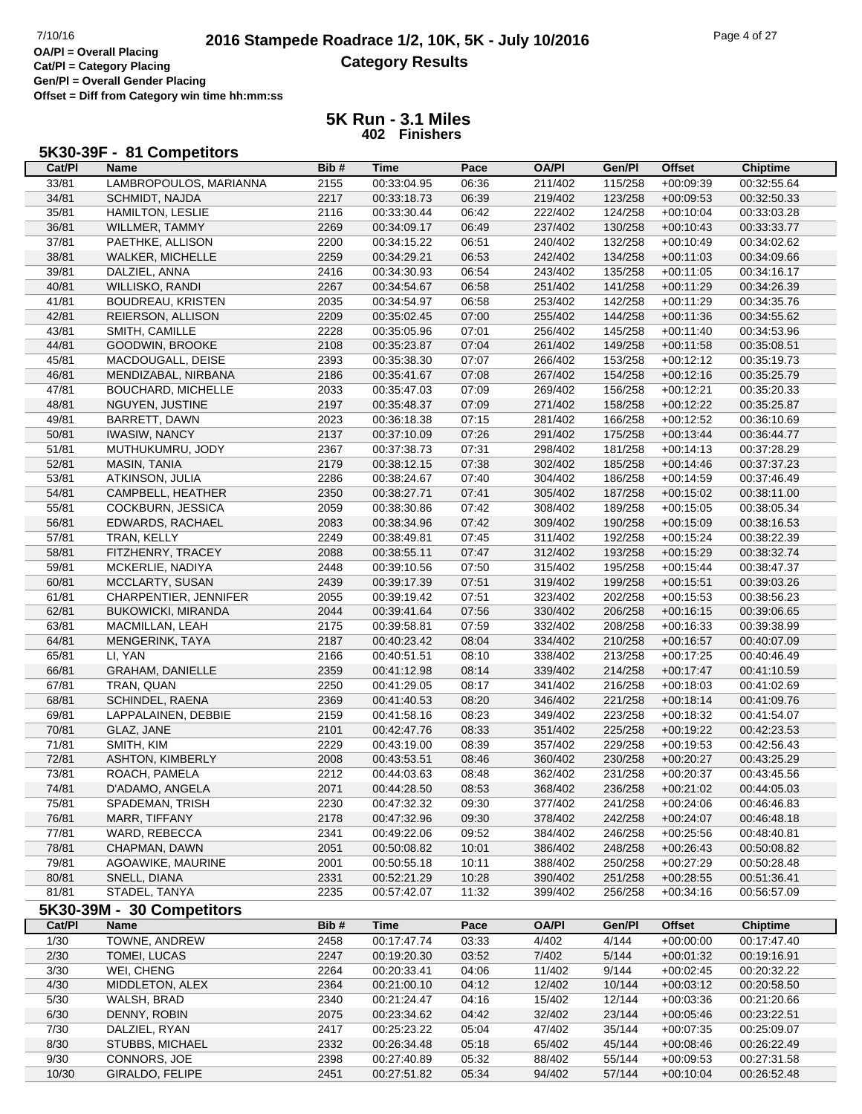**Offset = Diff from Category win time hh:mm:ss**

| 5K30-39F - 81 Competitors |
|---------------------------|
|---------------------------|

| Cat/PI | Name                      | Bib# | Time        | Pace  | <b>OA/PI</b> | Gen/Pl  | Offset        | <b>Chiptime</b> |
|--------|---------------------------|------|-------------|-------|--------------|---------|---------------|-----------------|
| 33/81  | LAMBROPOULOS, MARIANNA    | 2155 | 00:33:04.95 | 06:36 | 211/402      | 115/258 | $+00:09:39$   | 00:32:55.64     |
| 34/81  | SCHMIDT, NAJDA            | 2217 | 00:33:18.73 | 06:39 | 219/402      | 123/258 | $+00:09:53$   | 00:32:50.33     |
| 35/81  | <b>HAMILTON, LESLIE</b>   | 2116 | 00:33:30.44 | 06:42 | 222/402      | 124/258 | $+00:10:04$   | 00:33:03.28     |
| 36/81  | WILLMER, TAMMY            | 2269 | 00:34:09.17 | 06:49 | 237/402      | 130/258 | $+00:10:43$   | 00:33:33.77     |
| 37/81  | PAETHKE, ALLISON          | 2200 | 00:34:15.22 | 06:51 | 240/402      | 132/258 | $+00:10:49$   | 00:34:02.62     |
| 38/81  | WALKER, MICHELLE          | 2259 | 00:34:29.21 | 06:53 | 242/402      | 134/258 | $+00:11:03$   | 00:34:09.66     |
| 39/81  | DALZIEL, ANNA             | 2416 | 00:34:30.93 | 06:54 | 243/402      | 135/258 | $+00:11:05$   | 00:34:16.17     |
| 40/81  | WILLISKO, RANDI           | 2267 | 00:34:54.67 | 06:58 | 251/402      | 141/258 | $+00:11:29$   | 00:34:26.39     |
| 41/81  | <b>BOUDREAU, KRISTEN</b>  | 2035 | 00:34:54.97 | 06:58 | 253/402      | 142/258 | $+00:11:29$   | 00:34:35.76     |
| 42/81  | REIERSON, ALLISON         | 2209 | 00:35:02.45 | 07:00 | 255/402      | 144/258 | $+00:11:36$   | 00:34:55.62     |
| 43/81  | SMITH, CAMILLE            | 2228 | 00:35:05.96 | 07:01 | 256/402      | 145/258 | $+00:11:40$   | 00:34:53.96     |
| 44/81  | GOODWIN, BROOKE           | 2108 | 00:35:23.87 | 07:04 | 261/402      | 149/258 | $+00:11:58$   | 00:35:08.51     |
| 45/81  | MACDOUGALL, DEISE         | 2393 | 00:35:38.30 | 07:07 | 266/402      | 153/258 | $+00:12:12$   | 00:35:19.73     |
|        |                           |      |             |       |              |         |               |                 |
| 46/81  | MENDIZABAL, NIRBANA       | 2186 | 00:35:41.67 | 07:08 | 267/402      | 154/258 | $+00:12:16$   | 00:35:25.79     |
| 47/81  | <b>BOUCHARD, MICHELLE</b> | 2033 | 00:35:47.03 | 07:09 | 269/402      | 156/258 | $+00:12:21$   | 00:35:20.33     |
| 48/81  | NGUYEN, JUSTINE           | 2197 | 00:35:48.37 | 07:09 | 271/402      | 158/258 | $+00:12:22$   | 00:35:25.87     |
| 49/81  | BARRETT, DAWN             | 2023 | 00:36:18.38 | 07:15 | 281/402      | 166/258 | $+00:12:52$   | 00:36:10.69     |
| 50/81  | <b>IWASIW, NANCY</b>      | 2137 | 00:37:10.09 | 07:26 | 291/402      | 175/258 | $+00:13:44$   | 00:36:44.77     |
| 51/81  | MUTHUKUMRU, JODY          | 2367 | 00:37:38.73 | 07:31 | 298/402      | 181/258 | $+00:14:13$   | 00:37:28.29     |
| 52/81  | MASIN, TANIA              | 2179 | 00:38:12.15 | 07:38 | 302/402      | 185/258 | $+00:14:46$   | 00:37:37.23     |
| 53/81  | ATKINSON, JULIA           | 2286 | 00:38:24.67 | 07:40 | 304/402      | 186/258 | $+00:14:59$   | 00:37:46.49     |
| 54/81  | CAMPBELL, HEATHER         | 2350 | 00:38:27.71 | 07:41 | 305/402      | 187/258 | $+00:15:02$   | 00:38:11.00     |
| 55/81  | COCKBURN, JESSICA         | 2059 | 00:38:30.86 | 07:42 | 308/402      | 189/258 | $+00:15:05$   | 00:38:05.34     |
| 56/81  | EDWARDS, RACHAEL          | 2083 | 00:38:34.96 | 07:42 | 309/402      | 190/258 | $+00:15:09$   | 00:38:16.53     |
| 57/81  | TRAN, KELLY               | 2249 | 00:38:49.81 | 07:45 | 311/402      | 192/258 | $+00:15:24$   | 00:38:22.39     |
| 58/81  | FITZHENRY, TRACEY         | 2088 | 00:38:55.11 | 07:47 | 312/402      | 193/258 | $+00:15:29$   | 00:38:32.74     |
| 59/81  | MCKERLIE, NADIYA          | 2448 | 00:39:10.56 | 07:50 | 315/402      | 195/258 | $+00:15:44$   | 00:38:47.37     |
| 60/81  | MCCLARTY, SUSAN           | 2439 | 00:39:17.39 | 07:51 | 319/402      | 199/258 | $+00:15:51$   | 00:39:03.26     |
| 61/81  | CHARPENTIER, JENNIFER     | 2055 | 00:39:19.42 | 07:51 | 323/402      | 202/258 | $+00:15:53$   | 00:38:56.23     |
| 62/81  | <b>BUKOWICKI, MIRANDA</b> | 2044 | 00:39:41.64 | 07:56 | 330/402      | 206/258 | $+00:16:15$   | 00:39:06.65     |
| 63/81  | MACMILLAN, LEAH           | 2175 | 00:39:58.81 | 07:59 | 332/402      | 208/258 | $+00:16:33$   | 00:39:38.99     |
| 64/81  | MENGERINK, TAYA           | 2187 | 00:40:23.42 | 08:04 | 334/402      | 210/258 | $+00:16:57$   | 00:40:07.09     |
| 65/81  | LI, YAN                   | 2166 | 00:40:51.51 | 08:10 | 338/402      | 213/258 | $+00:17:25$   | 00:40:46.49     |
| 66/81  | GRAHAM, DANIELLE          | 2359 | 00:41:12.98 | 08:14 | 339/402      | 214/258 | $+00:17:47$   | 00:41:10.59     |
| 67/81  | TRAN, QUAN                | 2250 | 00:41:29.05 | 08:17 | 341/402      | 216/258 | $+00:18:03$   | 00:41:02.69     |
| 68/81  | SCHINDEL, RAENA           | 2369 | 00:41:40.53 | 08:20 | 346/402      | 221/258 | $+00:18:14$   | 00:41:09.76     |
| 69/81  | LAPPALAINEN, DEBBIE       | 2159 | 00:41:58.16 | 08:23 | 349/402      | 223/258 | $+00:18:32$   | 00:41:54.07     |
| 70/81  | GLAZ, JANE                | 2101 | 00:42:47.76 | 08:33 | 351/402      | 225/258 | $+00:19:22$   | 00:42:23.53     |
| 71/81  | SMITH, KIM                | 2229 | 00:43:19.00 | 08:39 | 357/402      | 229/258 | $+00:19:53$   | 00:42:56.43     |
| 72/81  | <b>ASHTON, KIMBERLY</b>   | 2008 | 00:43:53.51 | 08:46 | 360/402      | 230/258 | $+00:20:27$   | 00:43:25.29     |
| 73/81  | ROACH, PAMELA             | 2212 | 00:44:03.63 | 08:48 | 362/402      | 231/258 | $+00:20:37$   | 00:43:45.56     |
| 74/81  | D'ADAMO, ANGELA           | 2071 | 00:44:28.50 | 08:53 | 368/402      | 236/258 | $+00:21:02$   | 00:44:05.03     |
| 75/81  | SPADEMAN, TRISH           | 2230 | 00:47:32.32 | 09:30 | 377/402      | 241/258 | $+00:24:06$   | 00:46:46.83     |
| 76/81  | MARR, TIFFANY             | 2178 | 00:47:32.96 | 09:30 | 378/402      | 242/258 | $+00:24:07$   | 00:46:48.18     |
| 77/81  | WARD, REBECCA             | 2341 | 00:49:22.06 | 09:52 | 384/402      | 246/258 | $+00:25:56$   | 00:48:40.81     |
| 78/81  | CHAPMAN, DAWN             | 2051 | 00:50:08.82 | 10:01 | 386/402      | 248/258 | $+00:26:43$   | 00:50:08.82     |
| 79/81  | AGOAWIKE, MAURINE         | 2001 | 00:50:55.18 | 10:11 | 388/402      | 250/258 | $+00:27:29$   | 00:50:28.48     |
| 80/81  | SNELL, DIANA              | 2331 | 00:52:21.29 | 10:28 | 390/402      | 251/258 | $+00:28:55$   | 00:51:36.41     |
| 81/81  | STADEL, TANYA             | 2235 | 00:57:42.07 | 11:32 | 399/402      | 256/258 | $+00:34:16$   | 00:56:57.09     |
|        | 5K30-39M - 30 Competitors |      |             |       |              |         |               |                 |
| Cat/PI | Name                      | Bib# | <b>Time</b> | Pace  | <b>OA/PI</b> | Gen/Pl  | <b>Offset</b> | <b>Chiptime</b> |
|        |                           |      | 00:17:47.74 |       |              | 4/144   |               |                 |
| 1/30   | TOWNE, ANDREW             | 2458 |             | 03:33 | 4/402        |         | $+00:00:00$   | 00:17:47.40     |
| 2/30   | TOMEI, LUCAS              | 2247 | 00:19:20.30 | 03:52 | 7/402        | 5/144   | $+00:01:32$   | 00:19:16.91     |
| 3/30   | WEI, CHENG                | 2264 | 00:20:33.41 | 04:06 | 11/402       | 9/144   | $+00:02:45$   | 00:20:32.22     |
| 4/30   | MIDDLETON, ALEX           | 2364 | 00:21:00.10 | 04:12 | 12/402       | 10/144  | $+00:03:12$   | 00:20:58.50     |
| 5/30   | WALSH, BRAD               | 2340 | 00:21:24.47 | 04:16 | 15/402       | 12/144  | $+00:03:36$   | 00:21:20.66     |
| 6/30   | DENNY, ROBIN              | 2075 | 00:23:34.62 | 04:42 | 32/402       | 23/144  | $+00:05:46$   | 00:23:22.51     |
| 7/30   | DALZIEL, RYAN             | 2417 | 00:25:23.22 | 05:04 | 47/402       | 35/144  | $+00:07:35$   | 00:25:09.07     |
| 8/30   | STUBBS, MICHAEL           | 2332 | 00:26:34.48 | 05:18 | 65/402       | 45/144  | $+00:08:46$   | 00:26:22.49     |
| 9/30   | CONNORS, JOE              | 2398 | 00:27:40.89 | 05:32 | 88/402       | 55/144  | $+00:09:53$   | 00:27:31.58     |
| 10/30  | GIRALDO, FELIPE           | 2451 | 00:27:51.82 | 05:34 | 94/402       | 57/144  | $+00:10:04$   | 00:26:52.48     |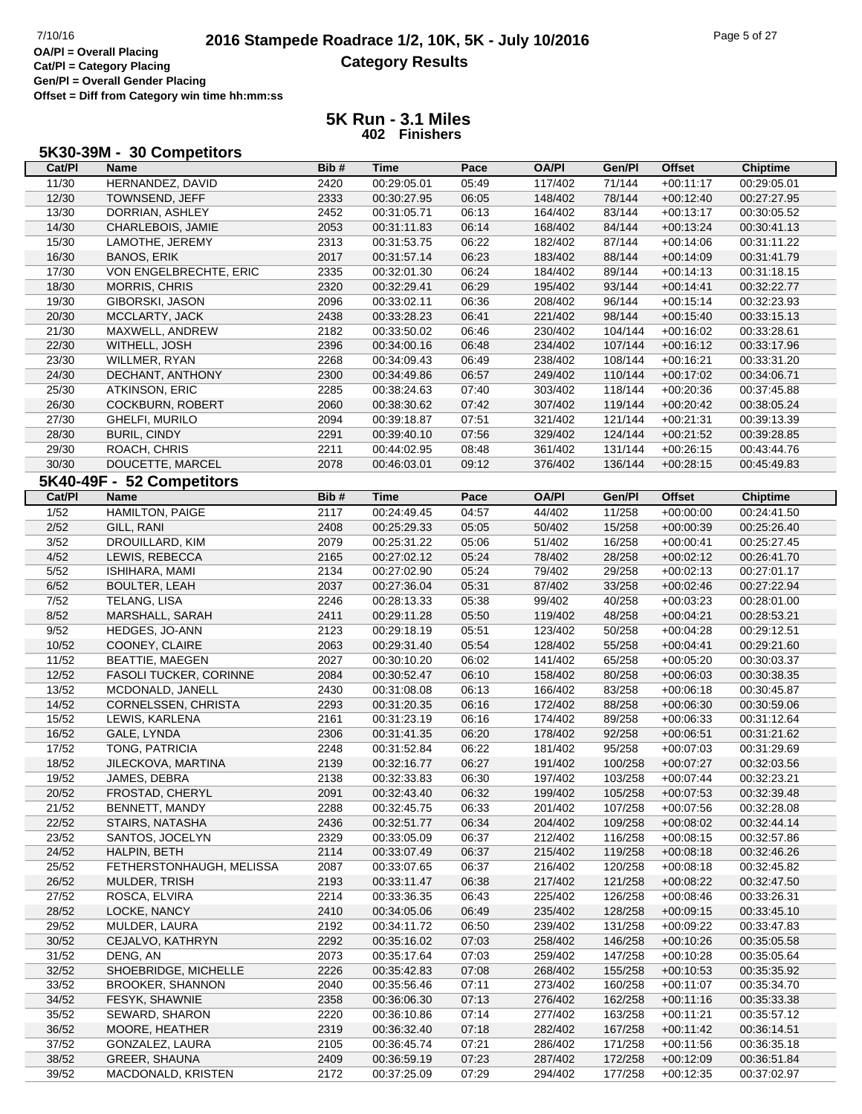**Offset = Diff from Category win time hh:mm:ss**

### **5K Run - 3.1 Miles 402 Finishers**

## **5K30-39M - 30 Competitors**

| Cat/PI         | Name                                      | Bib#         | <b>Time</b>                | Pace           | <b>OA/PI</b>       | Gen/Pl             | <b>Offset</b>              | <b>Chiptime</b>            |
|----------------|-------------------------------------------|--------------|----------------------------|----------------|--------------------|--------------------|----------------------------|----------------------------|
| 11/30          | HERNANDEZ, DAVID                          | 2420         | 00:29:05.01                | 05:49          | 117/402            | 71/144             | $+00:11:17$                | 00:29:05.01                |
| 12/30          | TOWNSEND, JEFF                            | 2333         | 00:30:27.95                | 06:05          | 148/402            | 78/144             | $+00:12:40$                | 00:27:27.95                |
| 13/30          | DORRIAN, ASHLEY                           | 2452         | 00:31:05.71                | 06:13          | 164/402            | 83/144             | $+00:13:17$                | 00:30:05.52                |
| 14/30          | CHARLEBOIS, JAMIE                         | 2053         | 00:31:11.83                | 06:14          | 168/402            | 84/144             | $+00:13:24$                | 00:30:41.13                |
| 15/30          | LAMOTHE, JEREMY                           | 2313         | 00:31:53.75                | 06:22          | 182/402            | 87/144             | $+00:14:06$                | 00:31:11.22                |
| 16/30          | <b>BANOS, ERIK</b>                        | 2017         | 00:31:57.14                | 06:23          | 183/402            | 88/144             | $+00:14:09$                | 00:31:41.79                |
| 17/30          | VON ENGELBRECHTE, ERIC                    | 2335         | 00:32:01.30                | 06:24          | 184/402            | 89/144             | $+00:14:13$                | 00:31:18.15                |
| 18/30          | <b>MORRIS, CHRIS</b>                      | 2320         | 00:32:29.41                | 06:29          | 195/402            | 93/144             | $+00:14:41$                | 00:32:22.77                |
| 19/30          | GIBORSKI, JASON                           | 2096         | 00:33:02.11                | 06:36          | 208/402            | 96/144             | $+00:15:14$                | 00:32:23.93                |
| 20/30          | MCCLARTY, JACK                            | 2438         | 00:33:28.23                | 06:41          | 221/402            | 98/144             | $+00:15:40$                | 00:33:15.13                |
| 21/30          | MAXWELL, ANDREW                           | 2182         | 00:33:50.02                | 06:46          | 230/402            | 104/144            | $+00:16:02$                | 00:33:28.61                |
| 22/30          | WITHELL, JOSH                             | 2396         | 00:34:00.16                | 06:48          | 234/402            | 107/144            | $+00:16:12$                | 00:33:17.96                |
| 23/30          | WILLMER, RYAN                             | 2268         | 00:34:09.43                | 06:49          | 238/402            | 108/144            | $+00:16:21$                | 00:33:31.20                |
| 24/30          | DECHANT, ANTHONY                          | 2300         | 00:34:49.86                | 06:57          | 249/402            | 110/144            | $+00:17:02$                | 00:34:06.71                |
| 25/30          | <b>ATKINSON, ERIC</b>                     | 2285         | 00:38:24.63                | 07:40          | 303/402            | 118/144            | $+00:20:36$                | 00:37:45.88                |
| 26/30          | COCKBURN, ROBERT                          | 2060         | 00:38:30.62                | 07:42          | 307/402            | 119/144            | $+00:20:42$                | 00:38:05.24                |
| 27/30          | GHELFI, MURILO                            | 2094         | 00:39:18.87                | 07:51          | 321/402            | 121/144            | $+00:21:31$                | 00:39:13.39                |
| 28/30          | <b>BURIL, CINDY</b>                       | 2291         | 00:39:40.10                | 07:56          | 329/402            | 124/144            | $+00:21:52$                | 00:39:28.85                |
| 29/30          | ROACH, CHRIS                              | 2211         | 00:44:02.95                | 08:48          | 361/402            | 131/144            | $+00:26:15$                | 00:43:44.76                |
| 30/30          | DOUCETTE, MARCEL                          | 2078         | 00:46:03.01                | 09:12          | 376/402            | 136/144            | $+00:28:15$                | 00:45:49.83                |
|                | 5K40-49F - 52 Competitors                 |              |                            |                |                    |                    |                            |                            |
| Cat/PI         | <b>Name</b>                               | Bib#         | <b>Time</b>                | Pace           | <b>OA/PI</b>       | Gen/Pl             | <b>Offset</b>              | Chiptime                   |
| $\frac{1}{52}$ | <b>HAMILTON, PAIGE</b>                    | 2117         | 00:24:49.45                | 04:57          | 44/402             | 11/258             | $+00:00:00$                | 00:24:41.50                |
| 2/52           | GILL, RANI                                | 2408         | 00:25:29.33                | 05:05          | 50/402             | 15/258             | $+00:00:39$                | 00:25:26.40                |
| 3/52           | DROUILLARD, KIM                           | 2079         | 00:25:31.22                | 05:06          | 51/402             | 16/258             | $+00:00:41$                | 00:25:27.45                |
| 4/52           | LEWIS, REBECCA                            | 2165         | 00:27:02.12                | 05:24          | 78/402             | 28/258             | $+00:02:12$                | 00:26:41.70                |
| 5/52           | ISHIHARA, MAMI                            | 2134         | 00:27:02.90                | 05:24          | 79/402             | 29/258             | $+00:02:13$                | 00:27:01.17                |
| 6/52           | <b>BOULTER, LEAH</b>                      | 2037         | 00:27:36.04                | 05:31          | 87/402             | 33/258             | $+00:02:46$                | 00:27:22.94                |
| 7/52           | TELANG, LISA                              | 2246         | 00:28:13.33                | 05:38          | 99/402             | 40/258             | $+00:03:23$                | 00:28:01.00                |
| 8/52           | MARSHALL, SARAH                           | 2411         | 00:29:11.28                | 05:50          | 119/402            | 48/258             | $+00:04:21$                | 00:28:53.21                |
| 9/52           | HEDGES, JO-ANN                            | 2123         | 00:29:18.19                | 05:51          | 123/402            | 50/258             | $+00:04:28$                | 00:29:12.51                |
| 10/52          | COONEY, CLAIRE                            | 2063         | 00:29:31.40                | 05:54          | 128/402            | 55/258             | $+00:04:41$                | 00:29:21.60                |
| 11/52          | <b>BEATTIE, MAEGEN</b>                    | 2027         | 00:30:10.20                | 06:02          | 141/402            | 65/258             | $+00:05:20$                | 00:30:03.37                |
| 12/52          | FASOLI TUCKER, CORINNE                    | 2084         | 00:30:52.47                | 06:10          | 158/402            | 80/258             | $+00:06:03$                | 00:30:38.35                |
| 13/52          | MCDONALD, JANELL                          | 2430         | 00:31:08.08                | 06:13          | 166/402            | 83/258             | $+00:06:18$                | 00:30:45.87                |
| 14/52          | CORNELSSEN, CHRISTA                       | 2293         | 00:31:20.35                | 06:16          | 172/402            | 88/258             | $+00:06:30$                | 00:30:59.06                |
| 15/52          | LEWIS, KARLENA                            | 2161         | 00:31:23.19                | 06:16          | 174/402            | 89/258             | $+00:06:33$                | 00:31:12.64                |
| 16/52          | GALE, LYNDA                               | 2306         | 00:31:41.35                | 06:20          | 178/402            | 92/258             | $+00:06:51$                | 00:31:21.62                |
| 17/52          | TONG, PATRICIA                            | 2248         | 00:31:52.84                | 06:22          | 181/402            | 95/258             | $+00:07:03$                | 00:31:29.69                |
| 18/52          | JILECKOVA, MARTINA                        | 2139         | 00:32:16.77                | 06:27          | 191/402            | 100/258            | $+00:07:27$                | 00:32:03.56                |
| 19/52          | JAMES, DEBRA                              | 2138         | 00:32:33.83                | 06:30          | 197/402            | 103/258            | $+00.07:44$                | 00:32:23.21                |
| 20/52          | FROSTAD, CHERYL                           | 2091         | 00:32:43.40                | 06:32          | 199/402            | 105/258            | $+00:07:53$                | 00:32:39.48                |
| 21/52          | BENNETT, MANDY                            | 2288         | 00:32:45.75                | 06:33          | 201/402            | 107/258            | $+00.07:56$                | 00:32:28.08                |
| 22/52          | STAIRS, NATASHA                           | 2436         | 00:32:51.77                | 06:34          | 204/402            | 109/258            | $+00:08:02$                | 00:32:44.14                |
| 23/52          | SANTOS, JOCELYN                           | 2329         | 00:33:05.09                | 06:37          | 212/402            | 116/258            | $+00:08:15$                | 00:32:57.86                |
| 24/52          | HALPIN, BETH                              | 2114         | 00:33:07.49                | 06:37          | 215/402            | 119/258            | $+00:08:18$                | 00:32:46.26                |
| 25/52          | FETHERSTONHAUGH, MELISSA                  | 2087         | 00:33:07.65                | 06:37          | 216/402            | 120/258            | $+00:08:18$                | 00:32:45.82                |
| 26/52          | MULDER, TRISH                             | 2193         | 00:33:11.47                | 06:38          | 217/402            | 121/258            | $+00:08:22$                | 00:32:47.50                |
| 27/52          | ROSCA, ELVIRA                             | 2214         | 00:33:36.35                | 06:43          | 225/402            | 126/258            | $+00:08:46$                | 00:33:26.31                |
| 28/52          | LOCKE, NANCY                              | 2410         | 00:34:05.06                | 06:49          | 235/402            | 128/258            | $+00:09:15$                | 00:33:45.10                |
| 29/52          | MULDER, LAURA                             | 2192         | 00:34:11.72                | 06:50          | 239/402            | 131/258            | $+00:09:22$                | 00:33:47.83                |
| 30/52          | CEJALVO, KATHRYN                          | 2292         | 00:35:16.02                | 07:03          | 258/402            | 146/258            | $+00:10:26$                | 00:35:05.58                |
| 31/52<br>32/52 | DENG, AN                                  | 2073         | 00:35:17.64                | 07:03          | 259/402            | 147/258<br>155/258 | $+00:10:28$                | 00:35:05.64                |
|                | SHOEBRIDGE, MICHELLE                      | 2226         | 00:35:42.83                | 07:08          | 268/402            |                    | $+00:10:53$                | 00:35:35.92                |
| 33/52<br>34/52 | <b>BROOKER, SHANNON</b><br>FESYK, SHAWNIE | 2040<br>2358 | 00:35:56.46<br>00:36:06.30 | 07:11<br>07:13 | 273/402<br>276/402 | 160/258<br>162/258 | $+00:11:07$<br>$+00:11:16$ | 00:35:34.70<br>00:35:33.38 |
| 35/52          | SEWARD, SHARON                            | 2220         | 00:36:10.86                | 07:14          | 277/402            | 163/258            |                            | 00:35:57.12                |
| 36/52          | MOORE, HEATHER                            | 2319         | 00:36:32.40                | 07:18          | 282/402            | 167/258            | $+00:11:21$<br>$+00:11:42$ | 00:36:14.51                |
| 37/52          | GONZALEZ, LAURA                           | 2105         | 00:36:45.74                | 07:21          | 286/402            | 171/258            | $+00:11:56$                | 00:36:35.18                |
| 38/52          | GREER, SHAUNA                             | 2409         | 00:36:59.19                | 07:23          | 287/402            | 172/258            | $+00:12:09$                | 00:36:51.84                |
| 39/52          | MACDONALD, KRISTEN                        | 2172         | 00:37:25.09                | 07:29          | 294/402            | 177/258            | $+00:12:35$                | 00:37:02.97                |
|                |                                           |              |                            |                |                    |                    |                            |                            |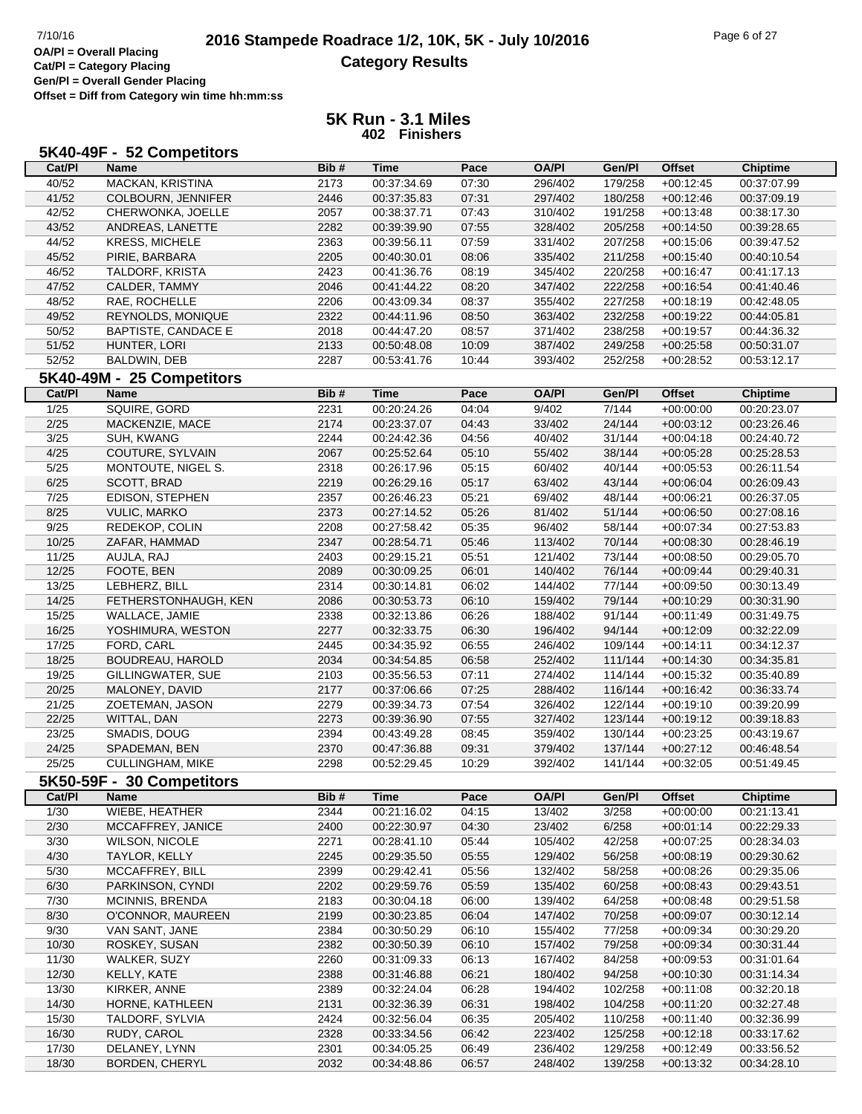**Offset = Diff from Category win time hh:mm:ss**

|        | 5K40-49F - 52 Competitors  |      |             |       |              |         |               |                 |
|--------|----------------------------|------|-------------|-------|--------------|---------|---------------|-----------------|
| Cat/PI | <b>Name</b>                | Bib# | <b>Time</b> | Pace  | <b>OA/PI</b> | Gen/Pl  | <b>Offset</b> | <b>Chiptime</b> |
| 40/52  | MACKAN, KRISTINA           | 2173 | 00:37:34.69 | 07:30 | 296/402      | 179/258 | $+00:12:45$   | 00:37:07.99     |
| 41/52  | COLBOURN, JENNIFER         | 2446 | 00:37:35.83 | 07:31 | 297/402      | 180/258 | $+00:12:46$   | 00:37:09.19     |
| 42/52  | CHERWONKA, JOELLE          | 2057 | 00:38:37.71 | 07:43 | 310/402      | 191/258 | $+00:13:48$   | 00:38:17.30     |
| 43/52  | ANDREAS, LANETTE           | 2282 | 00:39:39.90 | 07:55 | 328/402      | 205/258 | $+00:14:50$   | 00:39:28.65     |
| 44/52  | <b>KRESS, MICHELE</b>      | 2363 | 00:39:56.11 | 07:59 | 331/402      | 207/258 | $+00:15:06$   | 00:39:47.52     |
| 45/52  | PIRIE, BARBARA             | 2205 | 00:40:30.01 | 08:06 | 335/402      | 211/258 | $+00:15:40$   | 00:40:10.54     |
| 46/52  | TALDORF, KRISTA            | 2423 | 00:41:36.76 | 08:19 | 345/402      | 220/258 | $+00:16:47$   | 00:41:17.13     |
| 47/52  | CALDER, TAMMY              | 2046 | 00:41:44.22 | 08:20 | 347/402      | 222/258 | $+00:16:54$   | 00:41:40.46     |
| 48/52  | RAE, ROCHELLE              | 2206 | 00:43:09.34 | 08:37 | 355/402      | 227/258 | $+00:18:19$   | 00:42:48.05     |
| 49/52  | <b>REYNOLDS, MONIQUE</b>   | 2322 | 00:44:11.96 | 08:50 | 363/402      | 232/258 | $+00:19:22$   | 00:44:05.81     |
| 50/52  | <b>BAPTISTE, CANDACE E</b> | 2018 | 00:44:47.20 | 08:57 | 371/402      | 238/258 | $+00:19:57$   | 00:44:36.32     |
| 51/52  | HUNTER, LORI               | 2133 | 00:50:48.08 | 10:09 | 387/402      | 249/258 | $+00:25:58$   | 00:50:31.07     |
| 52/52  | BALDWIN, DEB               | 2287 | 00:53:41.76 | 10:44 | 393/402      | 252/258 | $+00:28:52$   | 00:53:12.17     |
|        | 5K40-49M - 25 Competitors  |      |             |       |              |         |               |                 |
| Cat/PI | <b>Name</b>                | Bib# | <b>Time</b> | Pace  | <b>OA/PI</b> | Gen/Pl  | <b>Offset</b> | <b>Chiptime</b> |
| 1/25   | SQUIRE, GORD               | 2231 | 00:20:24.26 | 04:04 | 9/402        | 7/144   | $+00:00:00$   | 00:20:23.07     |
| 2/25   | MACKENZIE, MACE            | 2174 | 00:23:37.07 | 04:43 | 33/402       | 24/144  | $+00:03:12$   | 00:23:26.46     |
| 3/25   | SUH, KWANG                 | 2244 | 00:24:42.36 | 04:56 | 40/402       | 31/144  | $+00:04:18$   | 00:24:40.72     |
| 4/25   | COUTURE, SYLVAIN           | 2067 | 00:25:52.64 | 05:10 | 55/402       | 38/144  | $+00:05:28$   | 00:25:28.53     |
| $5/25$ | MONTOUTE, NIGEL S.         | 2318 | 00:26:17.96 | 05:15 | 60/402       | 40/144  | $+00:05:53$   | 00:26:11.54     |
| 6/25   | SCOTT, BRAD                | 2219 | 00:26:29.16 | 05:17 | 63/402       | 43/144  | $+00:06:04$   | 00:26:09.43     |
| 7/25   | EDISON, STEPHEN            | 2357 | 00:26:46.23 | 05:21 | 69/402       | 48/144  | $+00:06:21$   | 00:26:37.05     |
| 8/25   | <b>VULIC, MARKO</b>        | 2373 | 00:27:14.52 | 05:26 | 81/402       | 51/144  | $+00:06:50$   | 00:27:08.16     |
| 9/25   | REDEKOP, COLIN             | 2208 | 00:27:58.42 | 05:35 | 96/402       | 58/144  | $+00:07:34$   | 00:27:53.83     |
| 10/25  | ZAFAR, HAMMAD              | 2347 | 00:28:54.71 | 05:46 | 113/402      | 70/144  | $+00:08:30$   | 00:28:46.19     |
| 11/25  | AUJLA, RAJ                 | 2403 | 00:29:15.21 | 05:51 | 121/402      | 73/144  | $+00:08:50$   | 00:29:05.70     |
| 12/25  | FOOTE, BEN                 | 2089 | 00:30:09.25 | 06:01 | 140/402      | 76/144  | $+00:09:44$   | 00:29:40.31     |
| 13/25  | LEBHERZ, BILL              | 2314 | 00:30:14.81 | 06:02 | 144/402      | 77/144  | $+00:09:50$   | 00:30:13.49     |
| 14/25  | FETHERSTONHAUGH, KEN       | 2086 | 00:30:53.73 | 06:10 | 159/402      | 79/144  | $+00:10:29$   | 00:30:31.90     |
| 15/25  | WALLACE, JAMIE             | 2338 | 00:32:13.86 | 06:26 | 188/402      | 91/144  | $+00:11:49$   | 00:31:49.75     |
| 16/25  | YOSHIMURA, WESTON          | 2277 | 00:32:33.75 | 06:30 | 196/402      | 94/144  | $+00:12:09$   | 00:32:22.09     |
| 17/25  | FORD, CARL                 | 2445 | 00:34:35.92 | 06:55 | 246/402      | 109/144 | $+00:14:11$   | 00:34:12.37     |
| 18/25  | BOUDREAU, HAROLD           | 2034 | 00:34:54.85 | 06:58 | 252/402      | 111/144 | $+00:14:30$   | 00:34:35.81     |
| 19/25  | GILLINGWATER, SUE          | 2103 | 00:35:56.53 | 07:11 | 274/402      | 114/144 | $+00:15:32$   | 00:35:40.89     |
| 20/25  | MALONEY, DAVID             | 2177 | 00:37:06.66 | 07:25 | 288/402      | 116/144 | $+00:16:42$   | 00:36:33.74     |
| 21/25  | ZOETEMAN, JASON            | 2279 | 00:39:34.73 | 07:54 | 326/402      | 122/144 | $+00:19:10$   | 00:39:20.99     |
| 22/25  | WITTAL, DAN                | 2273 | 00:39:36.90 | 07:55 | 327/402      | 123/144 | $+00:19:12$   | 00:39:18.83     |
| 23/25  | SMADIS, DOUG               | 2394 | 00:43:49.28 | 08:45 | 359/402      | 130/144 | $+00:23:25$   | 00:43:19.67     |
| 24/25  | SPADEMAN, BEN              | 2370 | 00:47:36.88 | 09:31 | 379/402      | 137/144 | $+00:27:12$   | 00:46:48.54     |
| 25/25  | <b>CULLINGHAM, MIKE</b>    | 2298 | 00:52:29.45 | 10:29 | 392/402      | 141/144 | $+00:32:05$   | 00:51:49.45     |
|        | 5K50-59F - 30 Competitors  |      |             |       |              |         |               |                 |
| Cat/PI | <b>Name</b>                | Bib# | <b>Time</b> | Pace  | <b>OA/PI</b> | Gen/Pl  | Offset        | <b>Chiptime</b> |
| 1/30   | WIEBE, HEATHER             | 2344 | 00:21:16.02 | 04:15 | 13/402       | 3/258   | $+00:00:00$   | 00:21:13.41     |
| 2/30   | MCCAFFREY, JANICE          | 2400 | 00:22:30.97 | 04:30 | 23/402       | 6/258   | $+00:01:14$   | 00:22:29.33     |
| 3/30   | <b>WILSON, NICOLE</b>      | 2271 | 00:28:41.10 | 05:44 | 105/402      | 42/258  | $+00:07:25$   | 00:28:34.03     |
| 4/30   | TAYLOR, KELLY              | 2245 | 00:29:35.50 | 05:55 | 129/402      | 56/258  | $+00:08:19$   | 00:29:30.62     |
| 5/30   | MCCAFFREY, BILL            | 2399 | 00:29:42.41 | 05:56 | 132/402      | 58/258  | $+00:08:26$   | 00:29:35.06     |
| 6/30   | PARKINSON, CYNDI           | 2202 | 00:29:59.76 | 05:59 | 135/402      | 60/258  | $+00:08:43$   | 00:29:43.51     |
| 7/30   | <b>MCINNIS, BRENDA</b>     | 2183 | 00:30:04.18 | 06:00 | 139/402      | 64/258  | $+00:08:48$   | 00:29:51.58     |
| 8/30   | O'CONNOR, MAUREEN          | 2199 | 00:30:23.85 | 06:04 | 147/402      | 70/258  | $+00:09:07$   | 00:30:12.14     |
| 9/30   | VAN SANT, JANE             | 2384 | 00:30:50.29 | 06:10 | 155/402      | 77/258  | $+00:09:34$   | 00:30:29.20     |
| 10/30  | ROSKEY, SUSAN              | 2382 | 00:30:50.39 | 06:10 | 157/402      | 79/258  | $+00:09:34$   | 00:30:31.44     |
| 11/30  | WALKER, SUZY               | 2260 | 00:31:09.33 | 06:13 | 167/402      | 84/258  | $+00:09:53$   | 00:31:01.64     |
| 12/30  | KELLY, KATE                | 2388 | 00:31:46.88 | 06:21 | 180/402      | 94/258  | $+00:10:30$   | 00:31:14.34     |
| 13/30  | KIRKER, ANNE               | 2389 | 00:32:24.04 | 06:28 | 194/402      | 102/258 | $+00:11:08$   | 00:32:20.18     |
| 14/30  | HORNE, KATHLEEN            | 2131 | 00:32:36.39 | 06:31 | 198/402      | 104/258 | $+00:11:20$   | 00:32:27.48     |
| 15/30  | TALDORF, SYLVIA            | 2424 | 00:32:56.04 | 06:35 | 205/402      | 110/258 | $+00:11:40$   | 00:32:36.99     |
| 16/30  | RUDY, CAROL                | 2328 | 00:33:34.56 | 06:42 | 223/402      | 125/258 | $+00:12:18$   | 00:33:17.62     |
| 17/30  | DELANEY, LYNN              | 2301 | 00:34:05.25 | 06:49 | 236/402      | 129/258 | $+00:12:49$   | 00:33:56.52     |
| 18/30  | BORDEN, CHERYL             | 2032 | 00:34:48.86 | 06:57 | 248/402      | 139/258 | $+00:13:32$   | 00:34:28.10     |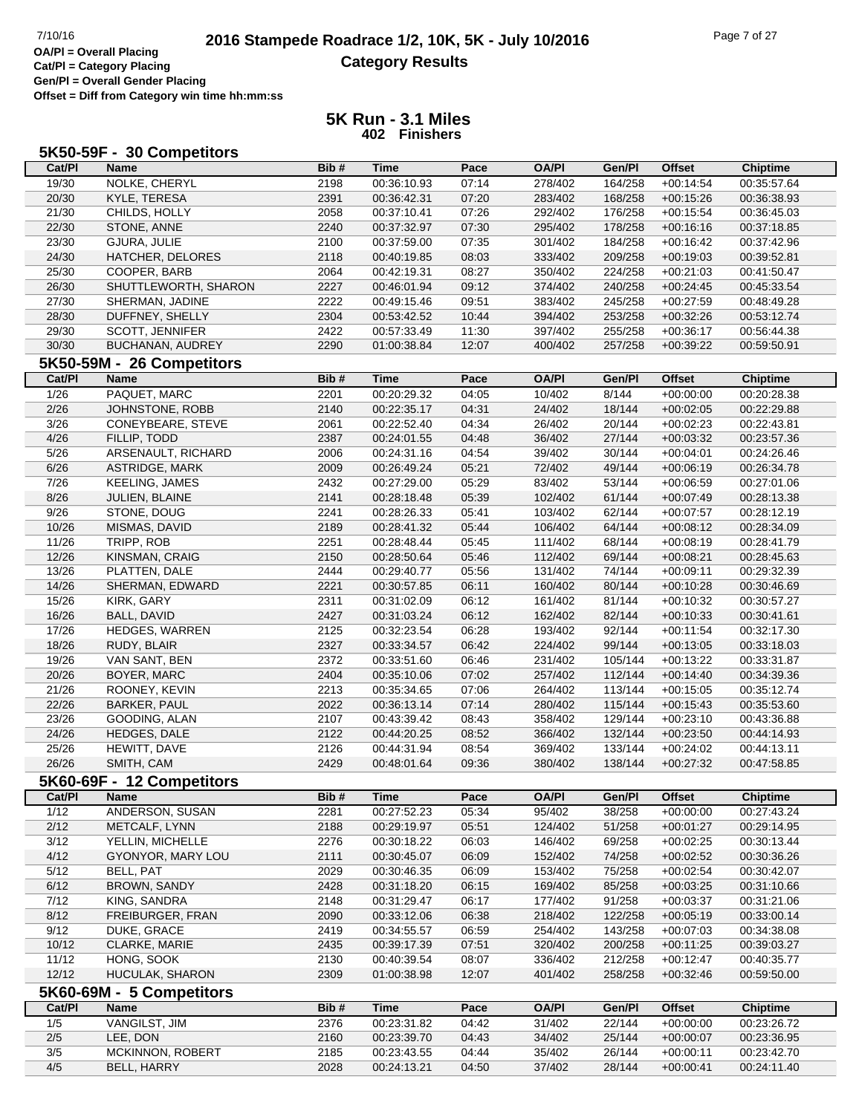**Offset = Diff from Category win time hh:mm:ss**

| 5K50-59F - 30 Competitors |  |  |
|---------------------------|--|--|
|---------------------------|--|--|

| Cat/PI         | Name                      | Bib# | <b>Time</b> | Pace  | <b>OA/PI</b> | Gen/Pl  | <b>Offset</b> | <b>Chiptime</b> |
|----------------|---------------------------|------|-------------|-------|--------------|---------|---------------|-----------------|
| 19/30          | NOLKE, CHERYL             | 2198 | 00:36:10.93 | 07:14 | 278/402      | 164/258 | $+00:14:54$   | 00:35:57.64     |
| 20/30          | KYLE, TERESA              | 2391 | 00:36:42.31 | 07:20 | 283/402      | 168/258 | $+00:15:26$   | 00:36:38.93     |
| 21/30          | CHILDS, HOLLY             | 2058 | 00:37:10.41 | 07:26 | 292/402      | 176/258 | $+00:15:54$   | 00:36:45.03     |
| 22/30          | STONE, ANNE               | 2240 | 00:37:32.97 | 07:30 | 295/402      | 178/258 | $+00:16:16$   | 00:37:18.85     |
| 23/30          | GJURA, JULIE              | 2100 | 00:37:59.00 | 07:35 | 301/402      | 184/258 | $+00:16:42$   | 00:37:42.96     |
| 24/30          | HATCHER, DELORES          | 2118 | 00:40:19.85 | 08:03 | 333/402      | 209/258 | $+00:19:03$   | 00:39:52.81     |
| 25/30          | COOPER, BARB              | 2064 | 00:42:19.31 | 08:27 | 350/402      | 224/258 | $+00:21:03$   | 00:41:50.47     |
| 26/30          | SHUTTLEWORTH, SHARON      | 2227 | 00:46:01.94 | 09:12 | 374/402      | 240/258 | $+00:24:45$   | 00:45:33.54     |
| 27/30          | SHERMAN, JADINE           | 2222 | 00:49:15.46 | 09:51 | 383/402      | 245/258 | $+00:27:59$   | 00:48:49.28     |
| 28/30          | DUFFNEY, SHELLY           | 2304 | 00:53:42.52 | 10:44 | 394/402      | 253/258 | $+00:32:26$   | 00:53:12.74     |
| 29/30          | SCOTT, JENNIFER           | 2422 | 00:57:33.49 | 11:30 | 397/402      | 255/258 | $+00:36:17$   | 00:56:44.38     |
| 30/30          | BUCHANAN, AUDREY          | 2290 | 01:00:38.84 | 12:07 | 400/402      | 257/258 | $+00:39:22$   | 00:59:50.91     |
|                | 5K50-59M - 26 Competitors |      |             |       |              |         |               |                 |
| Cat/PI         | <b>Name</b>               | Bib# | <b>Time</b> | Pace  | <b>OA/PI</b> | Gen/Pl  | <b>Offset</b> | <b>Chiptime</b> |
| $\frac{1}{26}$ | PAQUET, MARC              | 2201 | 00:20:29.32 | 04:05 | 10/402       | 8/144   | $+00:00:00$   | 00:20:28.38     |
| 2/26           | JOHNSTONE, ROBB           | 2140 | 00:22:35.17 | 04:31 | 24/402       | 18/144  | $+00:02:05$   | 00:22:29.88     |
| 3/26           | CONEYBEARE, STEVE         | 2061 | 00:22:52.40 | 04:34 | 26/402       | 20/144  | $+00:02:23$   | 00:22:43.81     |
| 4/26           | FILLIP, TODD              | 2387 | 00:24:01.55 | 04:48 | 36/402       | 27/144  | $+00:03:32$   | 00:23:57.36     |
| 5/26           | ARSENAULT, RICHARD        | 2006 | 00:24:31.16 | 04:54 | 39/402       | 30/144  | $+00:04:01$   | 00:24:26.46     |
| 6/26           | ASTRIDGE, MARK            | 2009 | 00:26:49.24 | 05:21 | 72/402       | 49/144  | $+00:06:19$   | 00:26:34.78     |
| 7/26           | KEELING, JAMES            | 2432 | 00:27:29.00 | 05:29 | 83/402       | 53/144  | $+00:06:59$   | 00:27:01.06     |
| 8/26           | JULIEN, BLAINE            | 2141 | 00:28:18.48 | 05:39 | 102/402      | 61/144  | $+00:07:49$   | 00:28:13.38     |
| 9/26           | STONE, DOUG               | 2241 | 00:28:26.33 | 05:41 | 103/402      | 62/144  | $+00:07:57$   | 00:28:12.19     |
| 10/26          | MISMAS, DAVID             | 2189 | 00:28:41.32 | 05:44 | 106/402      | 64/144  | $+00:08:12$   | 00:28:34.09     |
| 11/26          | TRIPP, ROB                | 2251 | 00:28:48.44 | 05:45 | 111/402      | 68/144  | $+00:08:19$   | 00:28:41.79     |
| 12/26          | KINSMAN, CRAIG            | 2150 | 00:28:50.64 | 05:46 | 112/402      | 69/144  | $+00:08:21$   | 00:28:45.63     |
| 13/26          | PLATTEN, DALE             | 2444 | 00:29:40.77 | 05:56 | 131/402      | 74/144  | $+00:09:11$   | 00:29:32.39     |
| 14/26          | SHERMAN, EDWARD           | 2221 | 00:30:57.85 | 06:11 | 160/402      | 80/144  | $+00:10:28$   | 00:30:46.69     |
| 15/26          | KIRK, GARY                | 2311 | 00:31:02.09 | 06:12 | 161/402      | 81/144  | $+00:10:32$   | 00:30:57.27     |
| 16/26          | BALL, DAVID               | 2427 | 00:31:03.24 | 06:12 | 162/402      | 82/144  | $+00:10:33$   | 00:30:41.61     |
| 17/26          | HEDGES, WARREN            | 2125 | 00:32:23.54 | 06:28 | 193/402      | 92/144  | $+00:11:54$   | 00:32:17.30     |
| 18/26          | RUDY, BLAIR               | 2327 | 00:33:34.57 | 06:42 | 224/402      | 99/144  | $+00:13:05$   | 00:33:18.03     |
| 19/26          | VAN SANT, BEN             | 2372 | 00:33:51.60 | 06:46 | 231/402      | 105/144 | $+00:13:22$   | 00:33:31.87     |
| 20/26          | BOYER, MARC               | 2404 | 00:35:10.06 | 07:02 | 257/402      | 112/144 | $+00:14:40$   | 00:34:39.36     |
| 21/26          | ROONEY, KEVIN             | 2213 | 00:35:34.65 | 07:06 | 264/402      | 113/144 | $+00:15:05$   | 00:35:12.74     |
| 22/26          | <b>BARKER, PAUL</b>       | 2022 | 00:36:13.14 | 07:14 | 280/402      | 115/144 | $+00:15:43$   | 00:35:53.60     |
| 23/26          | GOODING, ALAN             | 2107 | 00:43:39.42 | 08:43 | 358/402      | 129/144 | $+00:23:10$   | 00:43:36.88     |
| 24/26          | HEDGES, DALE              | 2122 | 00:44:20.25 | 08:52 | 366/402      | 132/144 | $+00:23:50$   | 00:44:14.93     |
| 25/26          | HEWITT, DAVE              | 2126 | 00:44:31.94 | 08:54 | 369/402      | 133/144 | $+00:24:02$   | 00:44:13.11     |
| 26/26          | SMITH, CAM                | 2429 | 00:48:01.64 | 09:36 | 380/402      | 138/144 | $+00:27:32$   | 00:47:58.85     |
|                | 5K60-69F - 12 Competitors |      |             |       |              |         |               |                 |
| Cat/PI         |                           | Bib# | <b>Time</b> | Pace  | <b>OA/PI</b> | Gen/Pl  | <b>Offset</b> | <b>Chiptime</b> |
| 1/12           | Name<br>ANDERSON, SUSAN   | 2281 | 00:27:52.23 | 05:34 | 95/402       | 38/258  | $+00:00:00$   | 00:27:43.24     |
| 2/12           | METCALF, LYNN             | 2188 | 00:29:19.97 | 05:51 | 124/402      | 51/258  | $+00:01:27$   | 00:29:14.95     |
| 3/12           | YELLIN, MICHELLE          | 2276 | 00:30:18.22 | 06:03 | 146/402      | 69/258  | $+00:02:25$   | 00:30:13.44     |
| 4/12           | GYONYOR, MARY LOU         | 2111 | 00:30:45.07 | 06:09 | 152/402      | 74/258  | $+00:02:52$   | 00:30:36.26     |
| 5/12           | BELL, PAT                 | 2029 | 00:30:46.35 | 06:09 | 153/402      | 75/258  | $+00:02:54$   | 00:30:42.07     |
| 6/12           | BROWN, SANDY              | 2428 | 00:31:18.20 | 06:15 | 169/402      | 85/258  | $+00:03:25$   | 00:31:10.66     |
| 7/12           | KING, SANDRA              | 2148 | 00:31:29.47 | 06:17 | 177/402      | 91/258  | $+00:03:37$   | 00:31:21.06     |
| 8/12           | FREIBURGER, FRAN          | 2090 | 00:33:12.06 | 06:38 | 218/402      | 122/258 | $+00:05:19$   | 00:33:00.14     |
| 9/12           | DUKE, GRACE               | 2419 | 00:34:55.57 | 06:59 | 254/402      | 143/258 | $+00:07:03$   | 00:34:38.08     |
| 10/12          | CLARKE, MARIE             | 2435 | 00:39:17.39 | 07:51 | 320/402      | 200/258 | $+00:11:25$   | 00:39:03.27     |
| 11/12          | HONG, SOOK                | 2130 | 00:40:39.54 | 08:07 | 336/402      | 212/258 | $+00:12:47$   | 00:40:35.77     |
| 12/12          | HUCULAK, SHARON           | 2309 | 01:00:38.98 | 12:07 | 401/402      | 258/258 | $+00:32:46$   | 00:59:50.00     |
|                |                           |      |             |       |              |         |               |                 |
|                | 5K60-69M - 5 Competitors  |      |             |       |              |         |               |                 |
| Cat/PI         | <b>Name</b>               | Bib# | <b>Time</b> | Pace  | <b>OA/PI</b> | Gen/Pl  | <b>Offset</b> | <b>Chiptime</b> |
| 1/5            | VANGILST, JIM             | 2376 | 00:23:31.82 | 04:42 | 31/402       | 22/144  | $+00:00:00$   | 00:23:26.72     |
| $2/5$          | LEE, DON                  | 2160 | 00:23:39.70 | 04:43 | 34/402       | 25/144  | $+00:00:07$   | 00:23:36.95     |
| 3/5            | MCKINNON, ROBERT          | 2185 | 00:23:43.55 | 04:44 | 35/402       | 26/144  | $+00:00:11$   | 00:23:42.70     |
| 4/5            | BELL, HARRY               | 2028 | 00:24:13.21 | 04:50 | 37/402       | 28/144  | $+00:00:41$   | 00:24:11.40     |